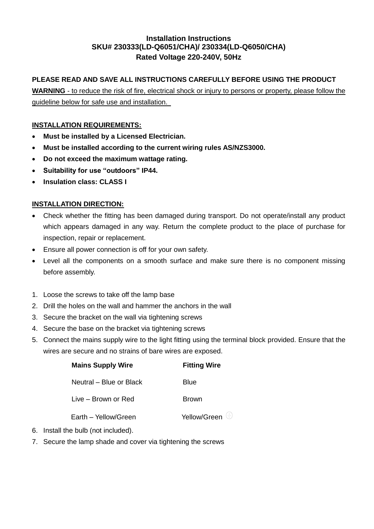## **Installation Instructions SKU# 230333(LD-Q6051/CHA)/ 230334(LD-Q6050/CHA) Rated Voltage 220-240V, 50Hz**

## **PLEASE READ AND SAVE ALL INSTRUCTIONS CAREFULLY BEFORE USING THE PRODUCT**

**WARNING** - to reduce the risk of fire, electrical shock or injury to persons or property, please follow the guideline below for safe use and installation.

## **INSTALLATION REQUIREMENTS:**

- **Must be installed by a Licensed Electrician.**
- **Must be installed according to the current wiring rules AS/NZS3000.**
- **Do not exceed the maximum wattage rating.**
- **Suitability for use "outdoors" IP44.**
- **Insulation class: CLASS I**

### **INSTALLATION DIRECTION:**

- Check whether the fitting has been damaged during transport. Do not operate/install any product which appears damaged in any way. Return the complete product to the place of purchase for inspection, repair or replacement.
- Ensure all power connection is off for your own safety.
- Level all the components on a smooth surface and make sure there is no component missing before assembly.
- 1. Loose the screws to take off the lamp base
- 2. Drill the holes on the wall and hammer the anchors in the wall
- 3. Secure the bracket on the wall via tightening screws
- 4. Secure the base on the bracket via tightening screws
- 5. Connect the mains supply wire to the light fitting using the terminal block provided. Ensure that the wires are secure and no strains of bare wires are exposed.

| <b>Mains Supply Wire</b> | <b>Fitting Wire</b>   |  |
|--------------------------|-----------------------|--|
| Neutral – Blue or Black  | <b>Blue</b>           |  |
| Live – Brown or Red      | <b>Brown</b>          |  |
| Earth – Yellow/Green     | Yellow/Green $\oplus$ |  |

- 6. Install the bulb (not included).
- 7. Secure the lamp shade and cover via tightening the screws